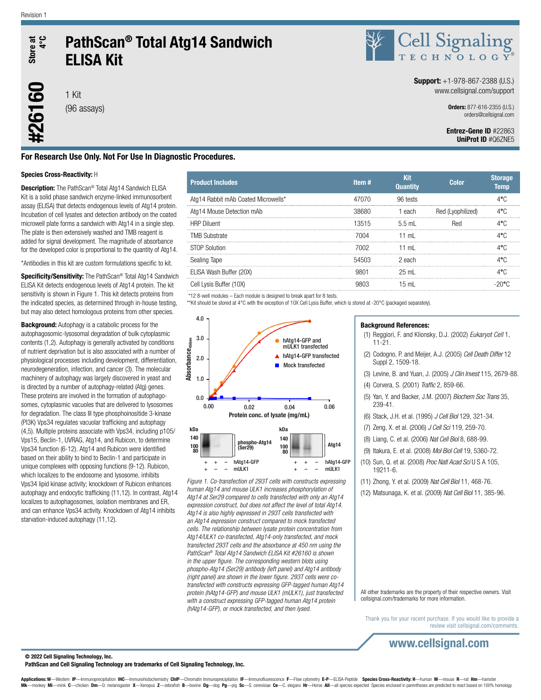

#26160

# PathScan® Total Atg14 Sandwich ELISA Kit

1 Kit (96 assays)



### **Support:**  $+1-978-867-2388$  (U.S.) www.cellsignal.com/support

Orders: 877-616-2355 (U.S.) orders@cellsignal.com

### Entrez-Gene ID #22863 UniProt ID #Q6ZNE5

## For Research Use Only. Not For Use In Diagnostic Procedures.

### Species Cross-Reactivity: H

Description: The PathScan® Total Atg14 Sandwich ELISA Kit is a solid phase sandwich enzyme-linked immunosorbent assay (ELISA) that detects endogenous levels of Atg14 protein. Incubation of cell lysates and detection antibody on the coated microwell plate forms a sandwich with Atg14 in a single step. The plate is then extensively washed and TMB reagent is added for signal development. The magnitude of absorbance for the developed color is proportional to the quantity of Atg14.

\*Antibodies in this kit are custom formulations specific to kit.

Specificity/Sensitivity: The PathScan® Total Atg14 Sandwich ELISA Kit detects endogenous levels of Atg14 protein. The kit sensitivity is shown in Figure 1. This kit detects proteins from the indicated species, as determined through in-house testing, but may also detect homologous proteins from other species.

**Background:** Autophagy is a catabolic process for the autophagosomic-lysosomal degradation of bulk cytoplasmic contents (1,2). Autophagy is generally activated by conditions of nutrient deprivation but is also associated with a number of physiological processes including development, differentiation, neurodegeneration, infection, and cancer (3). The molecular machinery of autophagy was largely discovered in yeast and is directed by a number of autophagy-related (Atg) genes. These proteins are involved in the formation of autophagosomes, cytoplasmic vacuoles that are delivered to lysosomes for degradation. The class III type phosphoinositide 3-kinase (PI3K) Vps34 regulates vacuolar trafficking and autophagy (4,5). Multiple proteins associate with Vps34, including p105/ Vps15, Beclin-1, UVRAG, Atg14, and Rubicon, to determine Vps34 function (6-12). Atg14 and Rubicon were identified based on their ability to bind to Beclin-1 and participate in unique complexes with opposing functions (9-12). Rubicon, which localizes to the endosome and lysosome, inhibits Vps34 lipid kinase activity; knockdown of Rubicon enhances autophagy and endocytic trafficking (11,12). In contrast, Atg14 localizes to autophagosomes, isolation membranes and ER, and can enhance Vps34 activity. Knockdown of Atg14 inhibits starvation-induced autophagy (11,12).

| <b>Product Includes</b>             | Item# | Kit<br><b>Quantity</b> | <b>Color</b>      | <b>Storage</b><br><b>Temp</b> |
|-------------------------------------|-------|------------------------|-------------------|-------------------------------|
| Atg14 Rabbit mAb Coated Microwells* | 47070 | 96 tests               |                   | 4°C                           |
| Atg14 Mouse Detection mAb           | 38680 | each                   | Red (Lvophilized) | 4°C                           |
| <b>HRP Diluent</b>                  | 13515 | 5.5 mL                 | <b>Red</b>        | 4°C                           |
| <b>TMB Substrate</b>                | 7004  | 11 ml                  |                   | 4°∩                           |
| <b>STOP Solution</b>                | 7002. | 11 $ml$                |                   | 4°C                           |
| Sealing Tape                        | 54503 | 2 each                 |                   | $4^{\circ}$ C                 |
| ELISA Wash Buffer (20X)             |       | $25 \text{ ml}$        |                   | 4°Ր։                          |
| Cell Lysis Buffer (10X)             | 9803  | $15 \text{ mL}$        |                   | -2006                         |
|                                     |       |                        |                   |                               |

\*12 8-well modules – Each module is designed to break apart for 8 tests.

\*\*Kit should be stored at 4°C with the exception of 10X Cell Lysis Buffer, which is stored at -20°C (packaged separately).



*Figure 1. Co-transfection of 293T cells with constructs expressing human Atg14 and mouse ULK1 increases phosphorylation of Atg14 at Ser29 compared to cells transfected with only an Atg14 expression construct, but does not affect the level of total Atg14. Atg14 is also highly expressed in 293T cells transfected with an Atg14 expression construct compared to mock transfected cells. The relationship between lysate protein concentration from Atg14/ULK1 co-transfected, Atg14-only transfected, and mock transfected 293T cells and the absorbance at 450 nm using the PathScan® Total Atg14 Sandwich ELISA Kit #26160 is shown in the upper figure. The corresponding western blots using phospho-Atg14 (Ser29) antibody (left panel) and Atg14 antibody (right panel) are shown in the lower figure. 293T cells were cotransfected with constructs expressing GFP-tagged human Atg14 protein (hAtg14-GFP) and mouse ULK1 (mULK1), just transfected with a construct expressing GFP-tagged human Atg14 protein (hAtg14-GFP), or mock transfected, and then lysed.*

### Background References:

19211-6.

- (1) Reggiori, F. and Klionsky, D.J. (2002) *Eukaryot Cell* 1, 11-21.
- (2) Codogno, P. and Meijer, A.J. (2005) *Cell Death Differ* 12 Suppl 2, 1509-18.
- (3) Levine, B. and Yuan, J. (2005) *J Clin Invest* 115, 2679-88.
- (4) Corvera, S. (2001) *Traffic* 2, 859-66.
- (5) Yan, Y. and Backer, J.M. (2007) *Biochem Soc Trans* 35, 239-41.
- (6) Stack, J.H. et al. (1995) *J Cell Biol* 129, 321-34.
- (7) Zeng, X. et al. (2006) *J Cell Sci* 119, 259-70.
- (8) Liang, C. et al. (2006) *Nat Cell Biol* 8, 688-99.
- (9) Itakura, E. et al. (2008) *Mol Biol Cell* 19, 5360-72.
- (10) Sun, Q. et al. (2008) *Proc Natl Acad Sci* U S A 105,
- (11) Zhong, Y. et al. (2009) *Nat Cell Biol* 11, 468-76.
- (12) Matsunaga, K. et al. (2009) *Nat Cell Biol* 11, 385-96.

All other trademarks are the property of their respective owners. Visit cellsignal.com/trademarks for more information.

Thank you for your recent purchase. If you would like to provide a review visit cellsignal.com/comments.

www.cellsignal.com

### © 2022 Cell Signaling Technology, Inc.

#### PathScan and Cell Signaling Technology are trademarks of Cell Signaling Technology, Inc.

Applications: W—Western IP—Immunoprecipitation IHC—Immunohistochemistry ChIP—Chromatin Immunoprecipitation IF—Immunofluorescence F—Flow cytometry E-P—ELISA-Peptide Species Cross-Reactivity: H—human M—mouse R—rat Hm—hamster monkey Mi-mink C-chicken Dm-D. melanogaster X-Xenopus Z-zebrafish B-bovine Dg-dog Pg-pig Sc-S. cerevisiae Ce-C. elegans Hr-Horse All-all species expected Species enclosed in parentheses are predicted to react based on 100%